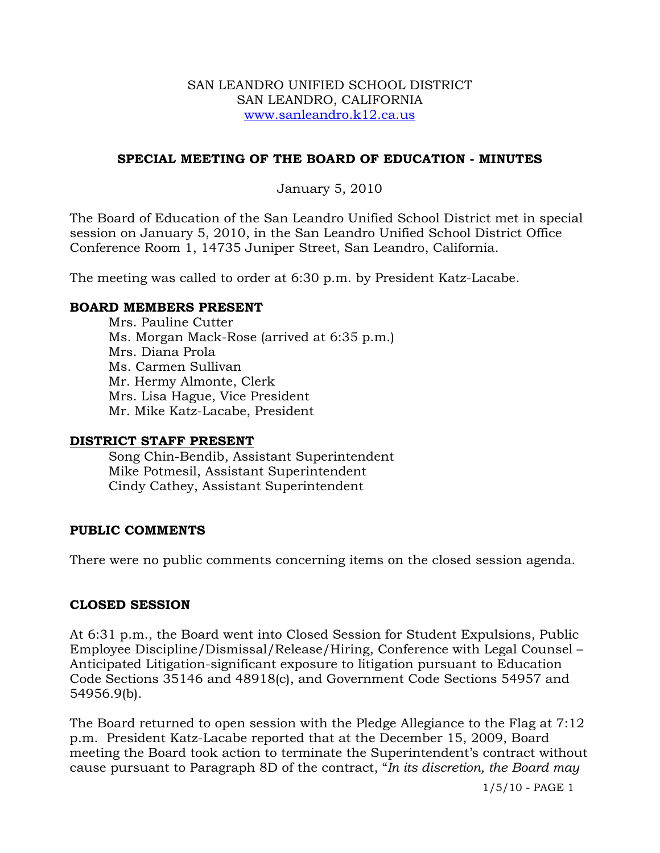#### SAN LEANDRO UNIFIED SCHOOL DISTRICT SAN LEANDRO, CALIFORNIA www.sanleandro.k12.ca.us

### **SPECIAL MEETING OF THE BOARD OF EDUCATION - MINUTES**

### January 5, 2010

The Board of Education of the San Leandro Unified School District met in special session on January 5, 2010, in the San Leandro Unified School District Office Conference Room 1, 14735 Juniper Street, San Leandro, California.

The meeting was called to order at 6:30 p.m. by President Katz-Lacabe.

#### **BOARD MEMBERS PRESENT**

Mrs. Pauline Cutter Ms. Morgan Mack-Rose (arrived at 6:35 p.m.) Mrs. Diana Prola Ms. Carmen Sullivan Mr. Hermy Almonte, Clerk Mrs. Lisa Hague, Vice President Mr. Mike Katz-Lacabe, President

#### **DISTRICT STAFF PRESENT**

Song Chin-Bendib, Assistant Superintendent Mike Potmesil, Assistant Superintendent Cindy Cathey, Assistant Superintendent

### **PUBLIC COMMENTS**

There were no public comments concerning items on the closed session agenda.

### **CLOSED SESSION**

At 6:31 p.m., the Board went into Closed Session for Student Expulsions, Public Employee Discipline/Dismissal/Release/Hiring, Conference with Legal Counsel – Anticipated Litigation-significant exposure to litigation pursuant to Education Code Sections 35146 and 48918(c), and Government Code Sections 54957 and 54956.9(b).

The Board returned to open session with the Pledge Allegiance to the Flag at 7:12 p.m. President Katz-Lacabe reported that at the December 15, 2009, Board meeting the Board took action to terminate the Superintendent's contract without cause pursuant to Paragraph 8D of the contract, "*In its discretion, the Board may* 

1/5/10 - PAGE 1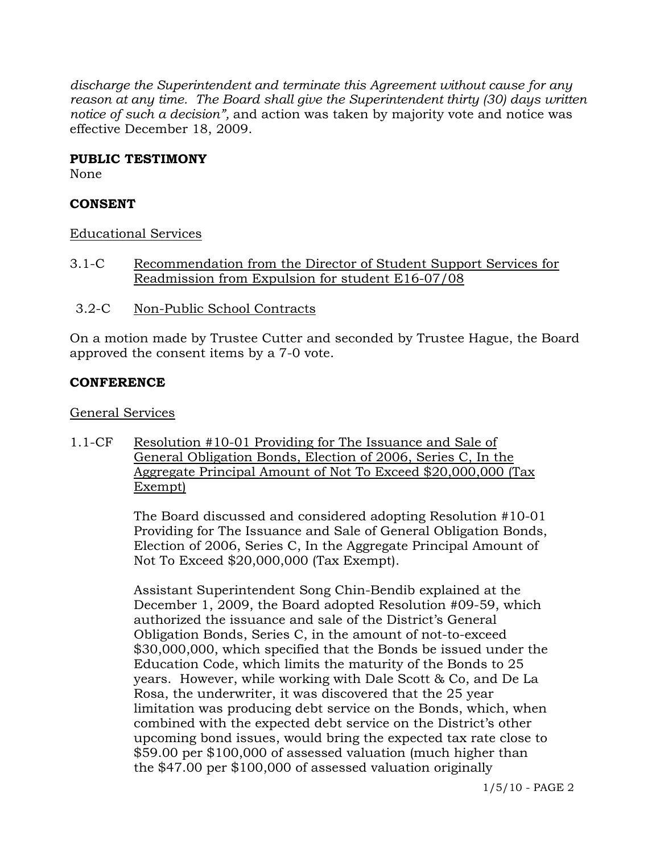*discharge the Superintendent and terminate this Agreement without cause for any reason at any time. The Board shall give the Superintendent thirty (30) days written notice of such a decision",* and action was taken by majority vote and notice was effective December 18, 2009.

### **PUBLIC TESTIMONY**

None

### **CONSENT**

Educational Services

- 3.1-C Recommendation from the Director of Student Support Services for Readmission from Expulsion for student E16-07/08
- 3.2-C Non-Public School Contracts

On a motion made by Trustee Cutter and seconded by Trustee Hague, the Board approved the consent items by a 7-0 vote.

## **CONFERENCE**

General Services

1.1-CF Resolution #10-01 Providing for The Issuance and Sale of General Obligation Bonds, Election of 2006, Series C, In the Aggregate Principal Amount of Not To Exceed \$20,000,000 (Tax Exempt)

> The Board discussed and considered adopting Resolution #10-01 Providing for The Issuance and Sale of General Obligation Bonds, Election of 2006, Series C, In the Aggregate Principal Amount of Not To Exceed \$20,000,000 (Tax Exempt).

Assistant Superintendent Song Chin-Bendib explained at the December 1, 2009, the Board adopted Resolution #09-59, which authorized the issuance and sale of the District's General Obligation Bonds, Series C, in the amount of not-to-exceed \$30,000,000, which specified that the Bonds be issued under the Education Code, which limits the maturity of the Bonds to 25 years. However, while working with Dale Scott & Co, and De La Rosa, the underwriter, it was discovered that the 25 year limitation was producing debt service on the Bonds, which, when combined with the expected debt service on the District's other upcoming bond issues, would bring the expected tax rate close to \$59.00 per \$100,000 of assessed valuation (much higher than the \$47.00 per \$100,000 of assessed valuation originally

1/5/10 - PAGE 2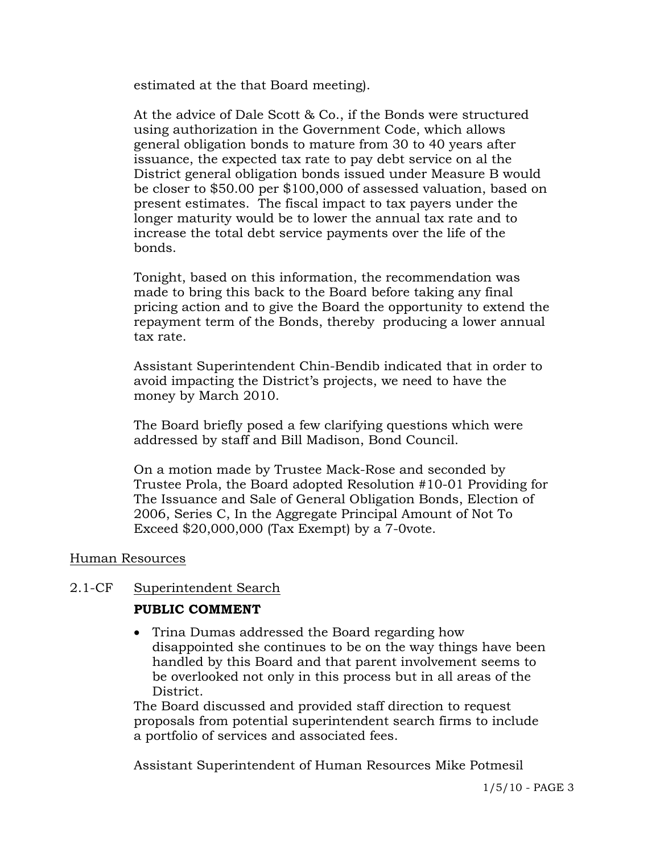estimated at the that Board meeting).

At the advice of Dale Scott & Co., if the Bonds were structured using authorization in the Government Code, which allows general obligation bonds to mature from 30 to 40 years after issuance, the expected tax rate to pay debt service on al the District general obligation bonds issued under Measure B would be closer to \$50.00 per \$100,000 of assessed valuation, based on present estimates. The fiscal impact to tax payers under the longer maturity would be to lower the annual tax rate and to increase the total debt service payments over the life of the bonds.

Tonight, based on this information, the recommendation was made to bring this back to the Board before taking any final pricing action and to give the Board the opportunity to extend the repayment term of the Bonds, thereby producing a lower annual tax rate.

Assistant Superintendent Chin-Bendib indicated that in order to avoid impacting the District's projects, we need to have the money by March 2010.

The Board briefly posed a few clarifying questions which were addressed by staff and Bill Madison, Bond Council.

On a motion made by Trustee Mack-Rose and seconded by Trustee Prola, the Board adopted Resolution #10-01 Providing for The Issuance and Sale of General Obligation Bonds, Election of 2006, Series C, In the Aggregate Principal Amount of Not To Exceed \$20,000,000 (Tax Exempt) by a 7-0vote.

### Human Resources

### 2.1-CF Superintendent Search

### **PUBLIC COMMENT**

• Trina Dumas addressed the Board regarding how disappointed she continues to be on the way things have been handled by this Board and that parent involvement seems to be overlooked not only in this process but in all areas of the District.

The Board discussed and provided staff direction to request proposals from potential superintendent search firms to include a portfolio of services and associated fees.

Assistant Superintendent of Human Resources Mike Potmesil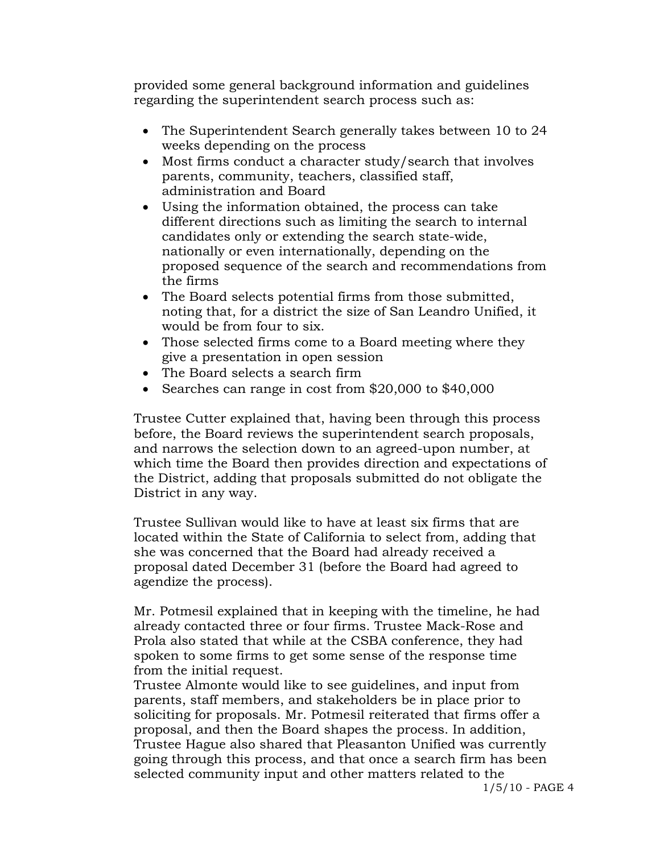provided some general background information and guidelines regarding the superintendent search process such as:

- The Superintendent Search generally takes between 10 to 24 weeks depending on the process
- Most firms conduct a character study/search that involves parents, community, teachers, classified staff, administration and Board
- Using the information obtained, the process can take different directions such as limiting the search to internal candidates only or extending the search state-wide, nationally or even internationally, depending on the proposed sequence of the search and recommendations from the firms
- The Board selects potential firms from those submitted, noting that, for a district the size of San Leandro Unified, it would be from four to six.
- Those selected firms come to a Board meeting where they give a presentation in open session
- The Board selects a search firm
- Searches can range in cost from \$20,000 to \$40,000

Trustee Cutter explained that, having been through this process before, the Board reviews the superintendent search proposals, and narrows the selection down to an agreed-upon number, at which time the Board then provides direction and expectations of the District, adding that proposals submitted do not obligate the District in any way.

Trustee Sullivan would like to have at least six firms that are located within the State of California to select from, adding that she was concerned that the Board had already received a proposal dated December 31 (before the Board had agreed to agendize the process).

Mr. Potmesil explained that in keeping with the timeline, he had already contacted three or four firms. Trustee Mack-Rose and Prola also stated that while at the CSBA conference, they had spoken to some firms to get some sense of the response time from the initial request.

Trustee Almonte would like to see guidelines, and input from parents, staff members, and stakeholders be in place prior to soliciting for proposals. Mr. Potmesil reiterated that firms offer a proposal, and then the Board shapes the process. In addition, Trustee Hague also shared that Pleasanton Unified was currently going through this process, and that once a search firm has been selected community input and other matters related to the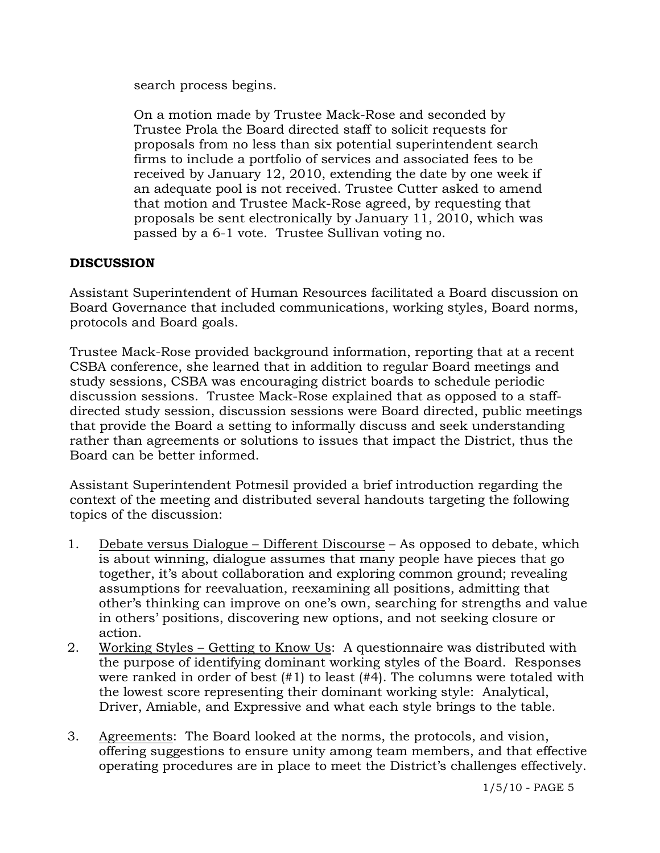search process begins.

On a motion made by Trustee Mack-Rose and seconded by Trustee Prola the Board directed staff to solicit requests for proposals from no less than six potential superintendent search firms to include a portfolio of services and associated fees to be received by January 12, 2010, extending the date by one week if an adequate pool is not received. Trustee Cutter asked to amend that motion and Trustee Mack-Rose agreed, by requesting that proposals be sent electronically by January 11, 2010, which was passed by a 6-1 vote. Trustee Sullivan voting no.

# **DISCUSSION**

Assistant Superintendent of Human Resources facilitated a Board discussion on Board Governance that included communications, working styles, Board norms, protocols and Board goals.

Trustee Mack-Rose provided background information, reporting that at a recent CSBA conference, she learned that in addition to regular Board meetings and study sessions, CSBA was encouraging district boards to schedule periodic discussion sessions. Trustee Mack-Rose explained that as opposed to a staffdirected study session, discussion sessions were Board directed, public meetings that provide the Board a setting to informally discuss and seek understanding rather than agreements or solutions to issues that impact the District, thus the Board can be better informed.

Assistant Superintendent Potmesil provided a brief introduction regarding the context of the meeting and distributed several handouts targeting the following topics of the discussion:

- 1. Debate versus Dialogue Different Discourse As opposed to debate, which is about winning, dialogue assumes that many people have pieces that go together, it's about collaboration and exploring common ground; revealing assumptions for reevaluation, reexamining all positions, admitting that other's thinking can improve on one's own, searching for strengths and value in others' positions, discovering new options, and not seeking closure or action.
- 2. Working Styles Getting to Know Us: A questionnaire was distributed with the purpose of identifying dominant working styles of the Board. Responses were ranked in order of best (#1) to least (#4). The columns were totaled with the lowest score representing their dominant working style: Analytical, Driver, Amiable, and Expressive and what each style brings to the table.
- 3. Agreements: The Board looked at the norms, the protocols, and vision, offering suggestions to ensure unity among team members, and that effective operating procedures are in place to meet the District's challenges effectively.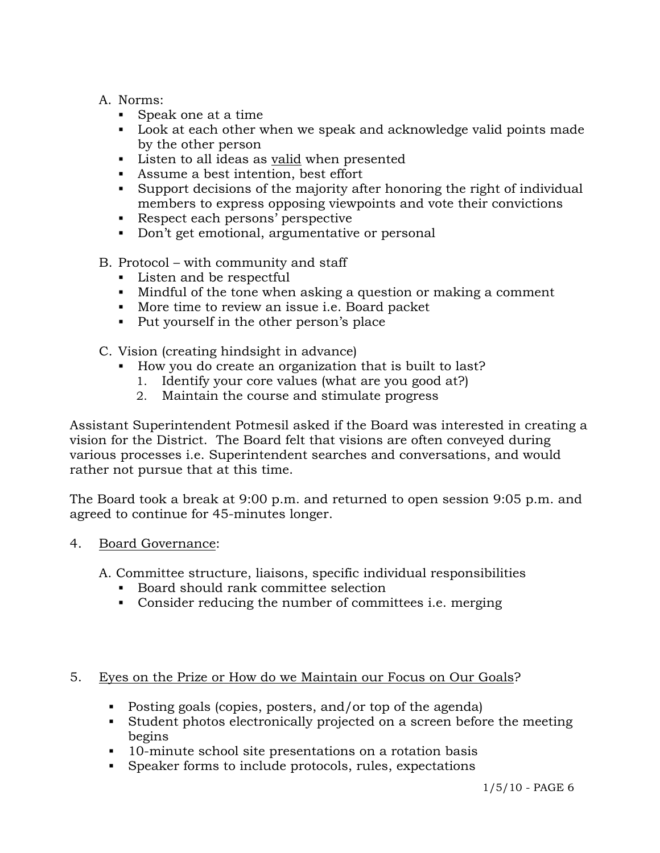- A. Norms:
	- Speak one at a time
	- Look at each other when we speak and acknowledge valid points made by the other person
	- Listen to all ideas as valid when presented
	- Assume a best intention, best effort
	- Support decisions of the majority after honoring the right of individual members to express opposing viewpoints and vote their convictions
	- Respect each persons' perspective
	- Don't get emotional, argumentative or personal
- B. Protocol with community and staff
	- **Listen and be respectful**
	- Mindful of the tone when asking a question or making a comment
	- More time to review an issue i.e. Board packet
	- Put yourself in the other person's place
- C. Vision (creating hindsight in advance)
	- How you do create an organization that is built to last?
		- 1. Identify your core values (what are you good at?)
		- 2. Maintain the course and stimulate progress

Assistant Superintendent Potmesil asked if the Board was interested in creating a vision for the District. The Board felt that visions are often conveyed during various processes i.e. Superintendent searches and conversations, and would rather not pursue that at this time.

The Board took a break at 9:00 p.m. and returned to open session 9:05 p.m. and agreed to continue for 45-minutes longer.

4. Board Governance:

A. Committee structure, liaisons, specific individual responsibilities

- Board should rank committee selection
- Consider reducing the number of committees i.e. merging

### 5. Eyes on the Prize or How do we Maintain our Focus on Our Goals?

- Posting goals (copies, posters, and/or top of the agenda)
- Student photos electronically projected on a screen before the meeting begins
- 10-minute school site presentations on a rotation basis
- Speaker forms to include protocols, rules, expectations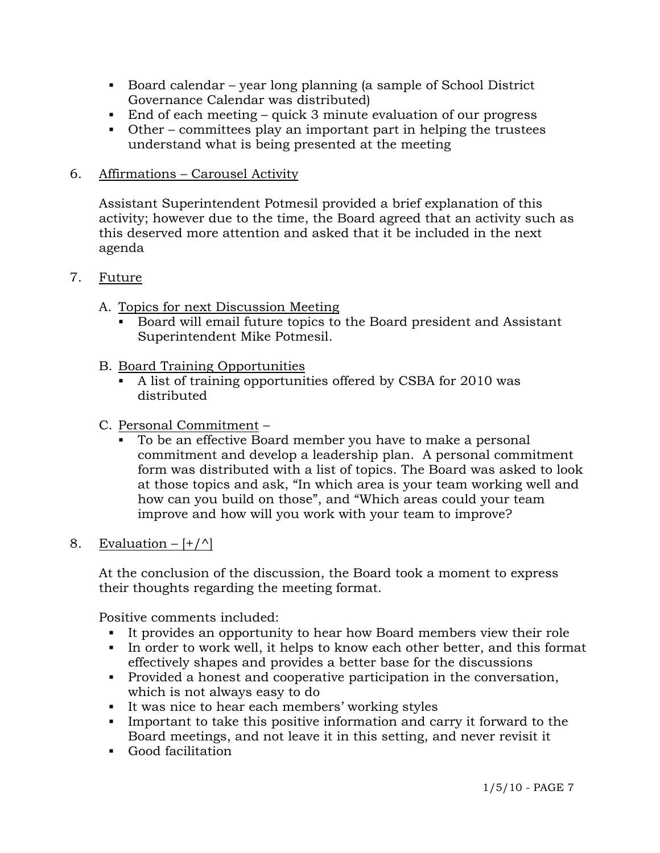- Board calendar year long planning (a sample of School District Governance Calendar was distributed)
- End of each meeting quick 3 minute evaluation of our progress
- Other committees play an important part in helping the trustees understand what is being presented at the meeting

## 6. Affirmations – Carousel Activity

 Assistant Superintendent Potmesil provided a brief explanation of this activity; however due to the time, the Board agreed that an activity such as this deserved more attention and asked that it be included in the next agenda

## 7. Future

- A. Topics for next Discussion Meeting
	- Board will email future topics to the Board president and Assistant Superintendent Mike Potmesil.
- B. Board Training Opportunities
	- A list of training opportunities offered by CSBA for 2010 was distributed
- C. Personal Commitment
	- To be an effective Board member you have to make a personal commitment and develop a leadership plan. A personal commitment form was distributed with a list of topics. The Board was asked to look at those topics and ask, "In which area is your team working well and how can you build on those", and "Which areas could your team improve and how will you work with your team to improve?

## 8. Evaluation  $[+/^{\wedge}]$

At the conclusion of the discussion, the Board took a moment to express their thoughts regarding the meeting format.

Positive comments included:

- It provides an opportunity to hear how Board members view their role
- In order to work well, it helps to know each other better, and this format effectively shapes and provides a better base for the discussions
- Provided a honest and cooperative participation in the conversation, which is not always easy to do
- It was nice to hear each members' working styles
- Important to take this positive information and carry it forward to the Board meetings, and not leave it in this setting, and never revisit it
- Good facilitation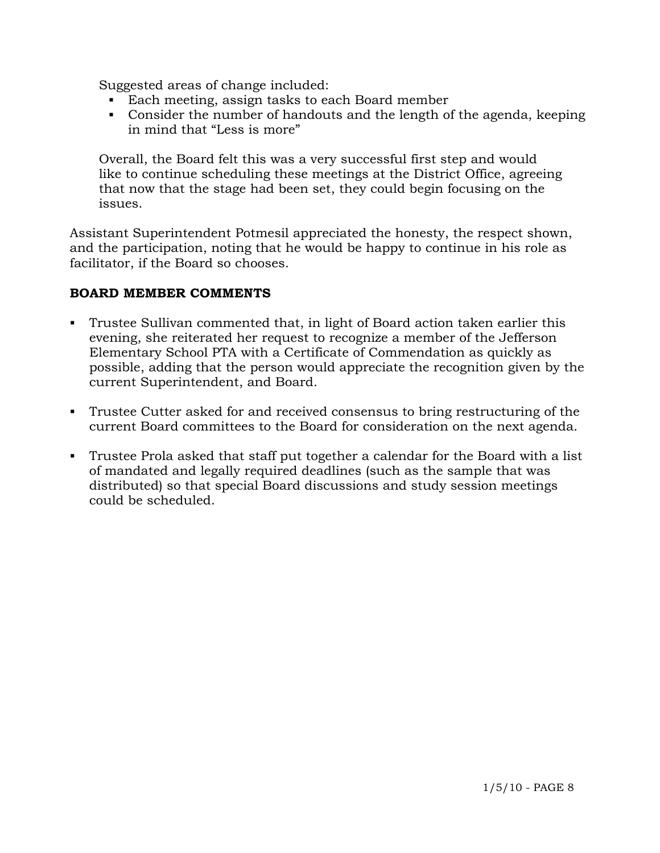Suggested areas of change included:

- Each meeting, assign tasks to each Board member
- Consider the number of handouts and the length of the agenda, keeping in mind that "Less is more"

 Overall, the Board felt this was a very successful first step and would like to continue scheduling these meetings at the District Office, agreeing that now that the stage had been set, they could begin focusing on the issues.

Assistant Superintendent Potmesil appreciated the honesty, the respect shown, and the participation, noting that he would be happy to continue in his role as facilitator, if the Board so chooses.

## **BOARD MEMBER COMMENTS**

- Trustee Sullivan commented that, in light of Board action taken earlier this evening, she reiterated her request to recognize a member of the Jefferson Elementary School PTA with a Certificate of Commendation as quickly as possible, adding that the person would appreciate the recognition given by the current Superintendent, and Board.
- Trustee Cutter asked for and received consensus to bring restructuring of the current Board committees to the Board for consideration on the next agenda.
- Trustee Prola asked that staff put together a calendar for the Board with a list of mandated and legally required deadlines (such as the sample that was distributed) so that special Board discussions and study session meetings could be scheduled.